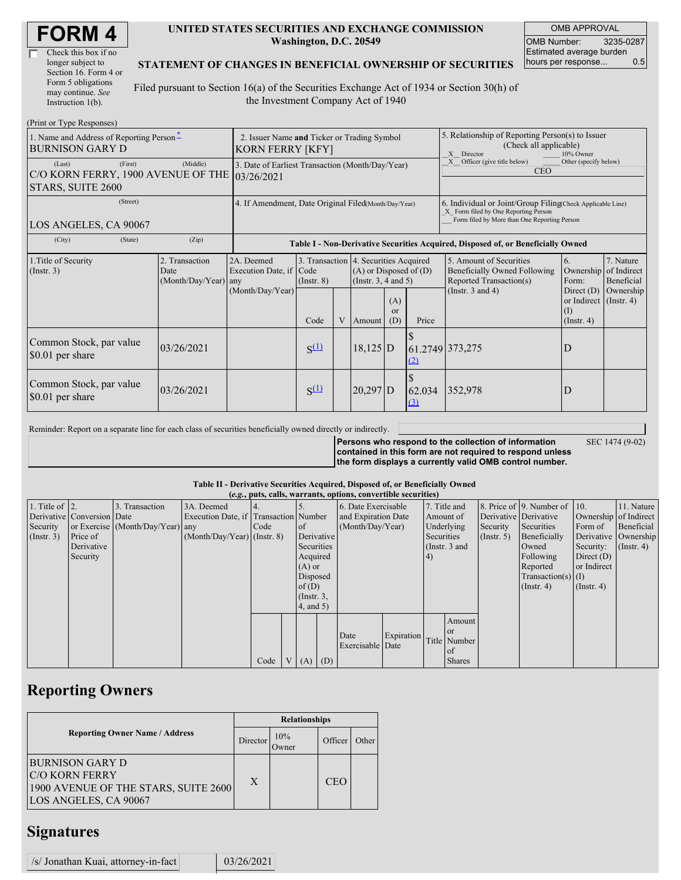| <b>FORM4</b> |
|--------------|
|--------------|

| Check this box if no  |
|-----------------------|
| longer subject to     |
| Section 16. Form 4 or |
| Form 5 obligations    |
| may continue. See     |
| Instruction 1(b).     |

#### **UNITED STATES SECURITIES AND EXCHANGE COMMISSION Washington, D.C. 20549**

OMB APPROVAL OMB Number: 3235-0287 Estimated average burden hours per response... 0.5

#### **STATEMENT OF CHANGES IN BENEFICIAL OWNERSHIP OF SECURITIES**

Filed pursuant to Section 16(a) of the Securities Exchange Act of 1934 or Section 30(h) of the Investment Company Act of 1940

| (Print or Type Responses)                                                               |                                                                                                                                                                                                               |                                                                                  |           |                                                                                                                            |            |                         |                                                                                                                                                    |                       |                                                                   |           |
|-----------------------------------------------------------------------------------------|---------------------------------------------------------------------------------------------------------------------------------------------------------------------------------------------------------------|----------------------------------------------------------------------------------|-----------|----------------------------------------------------------------------------------------------------------------------------|------------|-------------------------|----------------------------------------------------------------------------------------------------------------------------------------------------|-----------------------|-------------------------------------------------------------------|-----------|
| 1. Name and Address of Reporting Person-<br><b>BURNISON GARY D</b>                      | 2. Issuer Name and Ticker or Trading Symbol<br>KORN FERRY [KFY]                                                                                                                                               |                                                                                  |           |                                                                                                                            |            |                         | 5. Relationship of Reporting Person(s) to Issuer<br>(Check all applicable)<br>X Director<br>10% Owner                                              |                       |                                                                   |           |
| (Last)<br>(First)<br>C/O KORN FERRY, 1900 AVENUE OF THE 03/26/2021<br>STARS, SUITE 2600 | 3. Date of Earliest Transaction (Month/Day/Year)                                                                                                                                                              |                                                                                  |           |                                                                                                                            |            |                         | Officer (give title below)<br>Other (specify below)<br>X<br><b>CEO</b>                                                                             |                       |                                                                   |           |
| (Street)<br>LOS ANGELES, CA 90067                                                       | 4. If Amendment, Date Original Filed(Month/Day/Year)                                                                                                                                                          |                                                                                  |           |                                                                                                                            |            |                         | 6. Individual or Joint/Group Filing(Check Applicable Line)<br>X Form filed by One Reporting Person<br>Form filed by More than One Reporting Person |                       |                                                                   |           |
| (City)<br>(State)                                                                       | (Zip)                                                                                                                                                                                                         | Table I - Non-Derivative Securities Acquired, Disposed of, or Beneficially Owned |           |                                                                                                                            |            |                         |                                                                                                                                                    |                       |                                                                   |           |
| 1. Title of Security<br>$($ Instr. 3 $)$                                                | 2. Transaction<br>2A. Deemed<br>3. Transaction 4. Securities Acquired<br>Execution Date, if Code<br>$(A)$ or Disposed of $(D)$<br>Date<br>(Instr. $3, 4$ and $5$ )<br>(Month/Day/Year) any<br>$($ Instr. $8)$ |                                                                                  |           | 5. Amount of Securities<br>6.<br>Beneficially Owned Following<br>Ownership of Indirect<br>Reported Transaction(s)<br>Form: |            | 7. Nature<br>Beneficial |                                                                                                                                                    |                       |                                                                   |           |
|                                                                                         |                                                                                                                                                                                                               | (Month/Day/Year)                                                                 | Code      |                                                                                                                            | V Amount   | (A)<br><b>or</b><br>(D) | Price                                                                                                                                              | (Instr. $3$ and $4$ ) | Direct $(D)$<br>or Indirect (Instr. 4)<br>(1)<br>$($ Instr. 4 $)$ | Ownership |
| Common Stock, par value<br>\$0.01 per share                                             | 03/26/2021                                                                                                                                                                                                    |                                                                                  | $S^{(1)}$ |                                                                                                                            | $18,125$ D |                         | <u>(2)</u>                                                                                                                                         | 61.2749 373,275       | D                                                                 |           |
| Common Stock, par value<br>\$0.01 per share                                             | 03/26/2021                                                                                                                                                                                                    |                                                                                  | $S^{(1)}$ |                                                                                                                            | $20,297$ D |                         | 62.034<br>(3)                                                                                                                                      | 352,978               | D                                                                 |           |

Reminder: Report on a separate line for each class of securities beneficially owned directly or indirectly.

**Persons who respond to the collection of information contained in this form are not required to respond unless the form displays a currently valid OMB control number.**

SEC 1474 (9-02)

**Table II - Derivative Securities Acquired, Disposed of, or Beneficially Owned**

| (e.g., puts, calls, warrants, options, convertible securities) |                            |                                  |                                       |      |  |               |                     |                          |            |               |                       |               |                          |                  |                      |
|----------------------------------------------------------------|----------------------------|----------------------------------|---------------------------------------|------|--|---------------|---------------------|--------------------------|------------|---------------|-----------------------|---------------|--------------------------|------------------|----------------------|
| 1. Title of $\vert$ 2.                                         |                            | 3. Transaction                   | 3A. Deemed                            |      |  |               |                     | 6. Date Exercisable      |            | 7. Title and  |                       |               | 8. Price of 9. Number of | $\vert$ 10.      | 11. Nature           |
|                                                                | Derivative Conversion Date |                                  | Execution Date, if Transaction Number |      |  |               | and Expiration Date |                          | Amount of  |               | Derivative Derivative |               | Ownership of Indirect    |                  |                      |
| Security                                                       |                            | or Exercise (Month/Day/Year) any |                                       | Code |  | <sub>of</sub> |                     | (Month/Day/Year)         |            | Underlying    |                       | Security      | Securities               | Form of          | Beneficial           |
| $($ Instr. 3 $)$                                               | Price of                   |                                  | $(Month/Day/Year)$ (Instr. 8)         |      |  | Derivative    |                     |                          |            | Securities    |                       | $($ Instr. 5) | Beneficially             |                  | Derivative Ownership |
|                                                                | Derivative                 |                                  |                                       |      |  | Securities    |                     |                          |            | (Instr. 3 and |                       |               | Owned                    | Security:        | $($ Instr. 4 $)$     |
|                                                                | Security                   |                                  |                                       |      |  | Acquired      |                     |                          | 4)         |               |                       | Following     | Direct $(D)$             |                  |                      |
|                                                                |                            |                                  |                                       |      |  | $(A)$ or      |                     |                          |            |               |                       | Reported      | or Indirect              |                  |                      |
|                                                                |                            |                                  |                                       |      |  | Disposed      |                     |                          |            |               |                       |               | Transaction(s) $(I)$     |                  |                      |
|                                                                |                            |                                  |                                       |      |  | of $(D)$      |                     |                          |            |               |                       |               | $($ Instr. 4 $)$         | $($ Instr. 4 $)$ |                      |
|                                                                |                            |                                  |                                       |      |  | $($ Instr. 3, |                     |                          |            |               |                       |               |                          |                  |                      |
|                                                                |                            |                                  |                                       |      |  | (4, and 5)    |                     |                          |            |               |                       |               |                          |                  |                      |
|                                                                |                            |                                  |                                       |      |  |               |                     |                          |            |               | Amount                |               |                          |                  |                      |
|                                                                |                            |                                  |                                       |      |  |               |                     |                          |            |               | <sub>or</sub>         |               |                          |                  |                      |
|                                                                |                            |                                  |                                       |      |  |               |                     | Date<br>Exercisable Date | Expiration |               | Title Number          |               |                          |                  |                      |
|                                                                |                            |                                  |                                       |      |  |               |                     |                          |            |               | l of                  |               |                          |                  |                      |
|                                                                |                            |                                  |                                       | Code |  | V(A)          | (D)                 |                          |            |               | <b>Shares</b>         |               |                          |                  |                      |

# **Reporting Owners**

|                                                                                                                  | <b>Relationships</b> |              |            |       |  |  |  |
|------------------------------------------------------------------------------------------------------------------|----------------------|--------------|------------|-------|--|--|--|
| <b>Reporting Owner Name / Address</b>                                                                            | Director             | 10%<br>Owner | Officer    | Other |  |  |  |
| <b>BURNISON GARY D</b><br><b>C/O KORN FERRY</b><br>1900 AVENUE OF THE STARS, SUITE 2600<br>LOS ANGELES, CA 90067 | X                    |              | <b>CEO</b> |       |  |  |  |

### **Signatures**

| /s/ Jonathan Kuai, attorney-in-fact |  | 03/26/2021 |
|-------------------------------------|--|------------|
|-------------------------------------|--|------------|